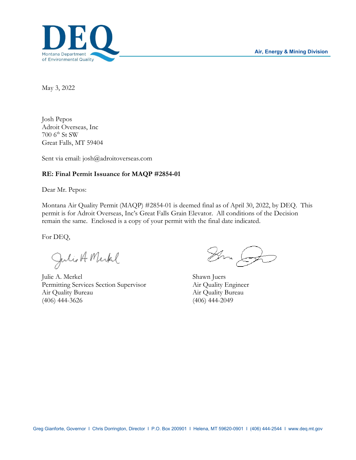

May 3, 2022

Josh Pepos Adroit Overseas, Inc 700 6th St SW Great Falls, MT 59404

Sent via email: josh@adroitoverseas.com

### **RE: Final Permit Issuance for MAQP #2854-01**

Dear Mr. Pepos:

Montana Air Quality Permit (MAQP) #2854-01 is deemed final as of April 30, 2022, by DEQ. This permit is for Adroit Overseas, Inc's Great Falls Grain Elevator. All conditions of the Decision remain the same. Enclosed is a copy of your permit with the final date indicated.

For DEQ,

Julio A Merkel

Julie A. Merkel Shawn Juers<br>
Permitting Services Section Supervisor Air Quality Engineer Permitting Services Section Supervisor Air Quality Bureau Air Quality Bureau (406) 444-3626 (406) 444-2049

Sm Or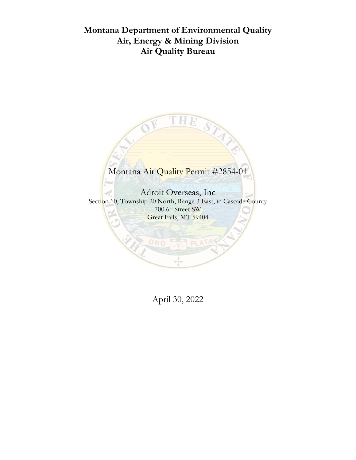# **Montana Department of Environmental Quality Air, Energy & Mining Division Air Quality Bureau**



April 30, 2022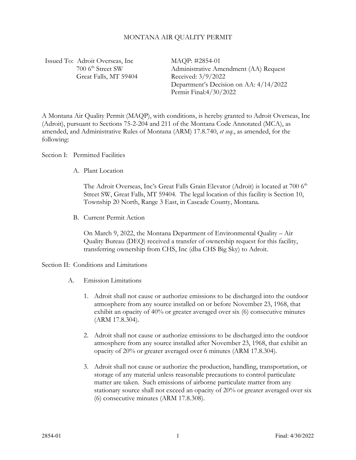#### MONTANA AIR QUALITY PERMIT

Issued To: Adroit Overseas, Inc 700 6<sup>th</sup> Street SW Great Falls, MT 59404 MAQP: #2854-01 Administrative Amendment (AA) Request Received: 3/9/2022 Department's Decision on AA: 4/14/2022 Permit Final:4/30/2022

A Montana Air Quality Permit (MAQP), with conditions, is hereby granted to Adroit Overseas, Inc (Adroit), pursuant to Sections 75-2-204 and 211 of the Montana Code Annotated (MCA), as amended, and Administrative Rules of Montana (ARM) 17.8.740, *et seq*., as amended, for the following:

Section I: Permitted Facilities

A. Plant Location

The Adroit Overseas, Inc's Great Falls Grain Elevator (Adroit) is located at 700 6<sup>th</sup> Street SW, Great Falls, MT 59404. The legal location of this facility is Section 10, Township 20 North, Range 3 East, in Cascade County, Montana.

B. Current Permit Action

On March 9, 2022, the Montana Department of Environmental Quality – Air Quality Bureau (DEQ) received a transfer of ownership request for this facility, transferring ownership from CHS, Inc (dba CHS Big Sky) to Adroit.

#### Section II: Conditions and Limitations

- A. Emission Limitations
	- 1. Adroit shall not cause or authorize emissions to be discharged into the outdoor atmosphere from any source installed on or before November 23, 1968, that exhibit an opacity of 40% or greater averaged over six (6) consecutive minutes (ARM 17.8.304).
	- 2. Adroit shall not cause or authorize emissions to be discharged into the outdoor atmosphere from any source installed after November 23, 1968, that exhibit an opacity of 20% or greater averaged over 6 minutes (ARM 17.8.304).
	- 3. Adroit shall not cause or authorize the production, handling, transportation, or storage of any material unless reasonable precautions to control particulate matter are taken. Such emissions of airborne particulate matter from any stationary source shall not exceed an opacity of 20% or greater averaged over six (6) consecutive minutes (ARM 17.8.308).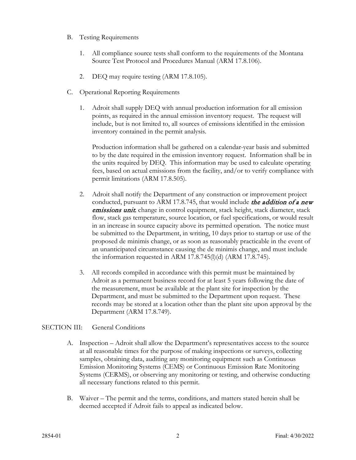- B. Testing Requirements
	- 1. All compliance source tests shall conform to the requirements of the Montana Source Test Protocol and Procedures Manual (ARM 17.8.106).
	- 2. DEQ may require testing (ARM 17.8.105).
- C. Operational Reporting Requirements
	- 1. Adroit shall supply DEQ with annual production information for all emission points, as required in the annual emission inventory request. The request will include, but is not limited to, all sources of emissions identified in the emission inventory contained in the permit analysis.

Production information shall be gathered on a calendar-year basis and submitted to by the date required in the emission inventory request. Information shall be in the units required by DEQ. This information may be used to calculate operating fees, based on actual emissions from the facility, and/or to verify compliance with permit limitations (ARM 17.8.505).

- 2. Adroit shall notify the Department of any construction or improvement project conducted, pursuant to ARM 17.8.745, that would include the addition of a new emissions unit*,* change in control equipment, stack height, stack diameter, stack flow, stack gas temperature, source location, or fuel specifications, or would result in an increase in source capacity above its permitted operation. The notice must be submitted to the Department, in writing, 10 days prior to startup or use of the proposed de minimis change, or as soon as reasonably practicable in the event of an unanticipated circumstance causing the de minimis change, and must include the information requested in ARM  $17.8.745(l)(d)$  (ARM  $17.8.745$ ).
- 3. All records compiled in accordance with this permit must be maintained by Adroit as a permanent business record for at least 5 years following the date of the measurement, must be available at the plant site for inspection by the Department, and must be submitted to the Department upon request. These records may be stored at a location other than the plant site upon approval by the Department (ARM 17.8.749).

## SECTION III: General Conditions

- A. Inspection Adroit shall allow the Department's representatives access to the source at all reasonable times for the purpose of making inspections or surveys, collecting samples, obtaining data, auditing any monitoring equipment such as Continuous Emission Monitoring Systems (CEMS) or Continuous Emission Rate Monitoring Systems (CERMS), or observing any monitoring or testing, and otherwise conducting all necessary functions related to this permit.
- B. Waiver The permit and the terms, conditions, and matters stated herein shall be deemed accepted if Adroit fails to appeal as indicated below.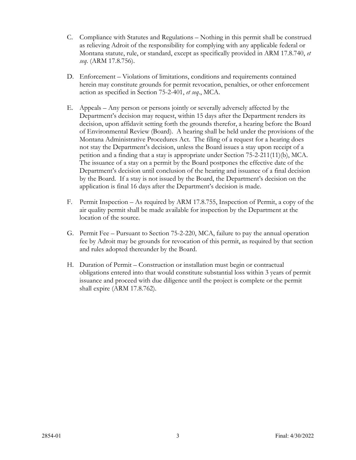- C. Compliance with Statutes and Regulations Nothing in this permit shall be construed as relieving Adroit of the responsibility for complying with any applicable federal or Montana statute, rule, or standard, except as specifically provided in ARM 17.8.740, *et seq*. (ARM 17.8.756).
- D. Enforcement Violations of limitations, conditions and requirements contained herein may constitute grounds for permit revocation, penalties, or other enforcement action as specified in Section 75-2-401, *et seq*., MCA.
- E. Appeals Any person or persons jointly or severally adversely affected by the Department's decision may request, within 15 days after the Department renders its decision, upon affidavit setting forth the grounds therefor, a hearing before the Board of Environmental Review (Board). A hearing shall be held under the provisions of the Montana Administrative Procedures Act. The filing of a request for a hearing does not stay the Department's decision, unless the Board issues a stay upon receipt of a petition and a finding that a stay is appropriate under Section 75-2-211(11)(b), MCA. The issuance of a stay on a permit by the Board postpones the effective date of the Department's decision until conclusion of the hearing and issuance of a final decision by the Board. If a stay is not issued by the Board, the Department's decision on the application is final 16 days after the Department's decision is made.
- F. Permit Inspection As required by ARM 17.8.755, Inspection of Permit, a copy of the air quality permit shall be made available for inspection by the Department at the location of the source.
- G. Permit Fee Pursuant to Section 75-2-220, MCA, failure to pay the annual operation fee by Adroit may be grounds for revocation of this permit, as required by that section and rules adopted thereunder by the Board.
- H. Duration of Permit Construction or installation must begin or contractual obligations entered into that would constitute substantial loss within 3 years of permit issuance and proceed with due diligence until the project is complete or the permit shall expire (ARM 17.8.762).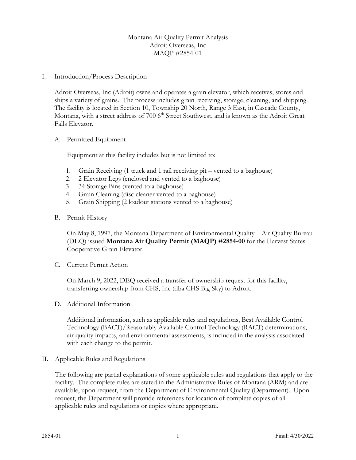### Montana Air Quality Permit Analysis Adroit Overseas, Inc MAQP #2854-01

#### I. Introduction/Process Description

Adroit Overseas, Inc (Adroit) owns and operates a grain elevator, which receives, stores and ships a variety of grains. The process includes grain receiving, storage, cleaning, and shipping. The facility is located in Section 10, Township 20 North, Range 3 East, in Cascade County, Montana, with a street address of 700 6<sup>th</sup> Street Southwest, and is known as the Adroit Great Falls Elevator.

#### A. Permitted Equipment

Equipment at this facility includes but is not limited to:

- 1. Grain Receiving (1 truck and 1 rail receiving pit vented to a baghouse)
- 2. 2 Elevator Legs (enclosed and vented to a baghouse)
- 3. 34 Storage Bins (vented to a baghouse)
- 4. Grain Cleaning (disc cleaner vented to a baghouse)
- 5. Grain Shipping (2 loadout stations vented to a baghouse)
- B. Permit History

On May 8, 1997, the Montana Department of Environmental Quality – Air Quality Bureau (DEQ) issued **Montana Air Quality Permit (MAQP) #2854-00** for the Harvest States Cooperative Grain Elevator.

C. Current Permit Action

On March 9, 2022, DEQ received a transfer of ownership request for this facility, transferring ownership from CHS, Inc (dba CHS Big Sky) to Adroit.

D. Additional Information

Additional information, such as applicable rules and regulations, Best Available Control Technology (BACT)/Reasonably Available Control Technology (RACT) determinations, air quality impacts, and environmental assessments, is included in the analysis associated with each change to the permit.

II. Applicable Rules and Regulations

The following are partial explanations of some applicable rules and regulations that apply to the facility. The complete rules are stated in the Administrative Rules of Montana (ARM) and are available, upon request, from the Department of Environmental Quality (Department). Upon request, the Department will provide references for location of complete copies of all applicable rules and regulations or copies where appropriate.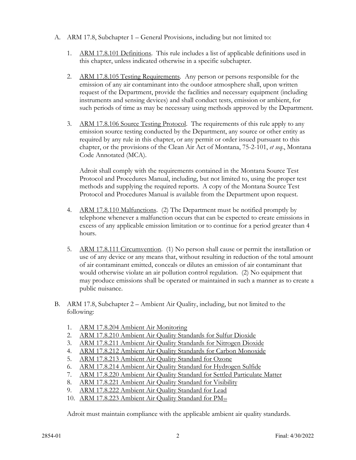- A. ARM 17.8, Subchapter 1 General Provisions, including but not limited to:
	- 1. ARM 17.8.101 Definitions. This rule includes a list of applicable definitions used in this chapter, unless indicated otherwise in a specific subchapter.
	- 2. ARM 17.8.105 Testing Requirements. Any person or persons responsible for the emission of any air contaminant into the outdoor atmosphere shall, upon written request of the Department, provide the facilities and necessary equipment (including instruments and sensing devices) and shall conduct tests, emission or ambient, for such periods of time as may be necessary using methods approved by the Department.
	- 3. ARM 17.8.106 Source Testing Protocol. The requirements of this rule apply to any emission source testing conducted by the Department, any source or other entity as required by any rule in this chapter, or any permit or order issued pursuant to this chapter, or the provisions of the Clean Air Act of Montana, 75-2-101, *et seq*., Montana Code Annotated (MCA).

Adroit shall comply with the requirements contained in the Montana Source Test Protocol and Procedures Manual, including, but not limited to, using the proper test methods and supplying the required reports. A copy of the Montana Source Test Protocol and Procedures Manual is available from the Department upon request.

- 4. ARM 17.8.110 Malfunctions. (2) The Department must be notified promptly by telephone whenever a malfunction occurs that can be expected to create emissions in excess of any applicable emission limitation or to continue for a period greater than 4 hours.
- 5. ARM 17.8.111 Circumvention. (1) No person shall cause or permit the installation or use of any device or any means that, without resulting in reduction of the total amount of air contaminant emitted, conceals or dilutes an emission of air contaminant that would otherwise violate an air pollution control regulation. (2) No equipment that may produce emissions shall be operated or maintained in such a manner as to create a public nuisance.
- B. ARM 17.8, Subchapter 2 Ambient Air Quality, including, but not limited to the following:
	- 1. ARM 17.8.204 Ambient Air Monitoring
	- 2. ARM 17.8.210 Ambient Air Quality Standards for Sulfur Dioxide
	- 3. ARM 17.8.211 Ambient Air Quality Standards for Nitrogen Dioxide
	- 4. ARM 17.8.212 Ambient Air Quality Standards for Carbon Monoxide
	- 5. ARM 17.8.213 Ambient Air Quality Standard for Ozone
	- 6. ARM 17.8.214 Ambient Air Quality Standard for Hydrogen Sulfide
	- 7. ARM 17.8.220 Ambient Air Quality Standard for Settled Particulate Matter
	- 8. ARM 17.8.221 Ambient Air Quality Standard for Visibility
	- 9. ARM 17.8.222 Ambient Air Quality Standard for Lead
	- 10. ARM 17.8.223 Ambient Air Quality Standard for PM<sub>10</sub>

Adroit must maintain compliance with the applicable ambient air quality standards.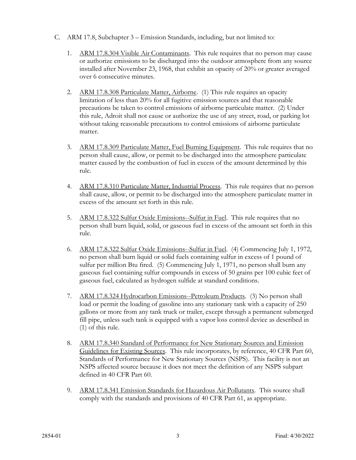- C. ARM 17.8, Subchapter 3 Emission Standards, including, but not limited to:
	- 1. ARM 17.8.304 Visible Air Contaminants. This rule requires that no person may cause or authorize emissions to be discharged into the outdoor atmosphere from any source installed after November 23, 1968, that exhibit an opacity of 20% or greater averaged over 6 consecutive minutes.
	- 2. ARM 17.8.308 Particulate Matter, Airborne. (1) This rule requires an opacity limitation of less than 20% for all fugitive emission sources and that reasonable precautions be taken to control emissions of airborne particulate matter. (2) Under this rule, Adroit shall not cause or authorize the use of any street, road, or parking lot without taking reasonable precautions to control emissions of airborne particulate matter.
	- 3. ARM 17.8.309 Particulate Matter, Fuel Burning Equipment. This rule requires that no person shall cause, allow, or permit to be discharged into the atmosphere particulate matter caused by the combustion of fuel in excess of the amount determined by this rule.
	- 4. ARM 17.8.310 Particulate Matter, Industrial Process. This rule requires that no person shall cause, allow, or permit to be discharged into the atmosphere particulate matter in excess of the amount set forth in this rule.
	- 5. ARM 17.8.322 Sulfur Oxide Emissions--Sulfur in Fuel. This rule requires that no person shall burn liquid, solid, or gaseous fuel in excess of the amount set forth in this rule.
	- 6. ARM 17.8.322 Sulfur Oxide Emissions--Sulfur in Fuel. (4) Commencing July 1, 1972, no person shall burn liquid or solid fuels containing sulfur in excess of 1 pound of sulfur per million Btu fired. (5) Commencing July 1, 1971, no person shall burn any gaseous fuel containing sulfur compounds in excess of 50 grains per 100 cubic feet of gaseous fuel, calculated as hydrogen sulfide at standard conditions.
	- 7. ARM 17.8.324 Hydrocarbon Emissions--Petroleum Products. (3) No person shall load or permit the loading of gasoline into any stationary tank with a capacity of 250 gallons or more from any tank truck or trailer, except through a permanent submerged fill pipe, unless such tank is equipped with a vapor loss control device as described in (1) of this rule.
	- 8. ARM 17.8.340 Standard of Performance for New Stationary Sources and Emission Guidelines for Existing Sources. This rule incorporates, by reference, 40 CFR Part 60, Standards of Performance for New Stationary Sources (NSPS). This facility is not an NSPS affected source because it does not meet the definition of any NSPS subpart defined in 40 CFR Part 60.
	- 9. ARM 17.8.341 Emission Standards for Hazardous Air Pollutants. This source shall comply with the standards and provisions of 40 CFR Part 61, as appropriate.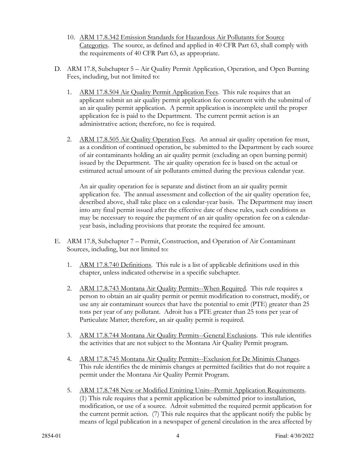- 10. ARM 17.8.342 Emission Standards for Hazardous Air Pollutants for Source Categories. The source, as defined and applied in 40 CFR Part 63, shall comply with the requirements of 40 CFR Part 63, as appropriate.
- D. ARM 17.8, Subchapter 5 Air Quality Permit Application, Operation, and Open Burning Fees, including, but not limited to:
	- 1. ARM 17.8.504 Air Quality Permit Application Fees. This rule requires that an applicant submit an air quality permit application fee concurrent with the submittal of an air quality permit application. A permit application is incomplete until the proper application fee is paid to the Department. The current permit action is an administrative action; therefore, no fee is required.
	- 2. ARM 17.8.505 Air Quality Operation Fees. An annual air quality operation fee must, as a condition of continued operation, be submitted to the Department by each source of air contaminants holding an air quality permit (excluding an open burning permit) issued by the Department. The air quality operation fee is based on the actual or estimated actual amount of air pollutants emitted during the previous calendar year.

An air quality operation fee is separate and distinct from an air quality permit application fee. The annual assessment and collection of the air quality operation fee, described above, shall take place on a calendar-year basis. The Department may insert into any final permit issued after the effective date of these rules, such conditions as may be necessary to require the payment of an air quality operation fee on a calendaryear basis, including provisions that prorate the required fee amount.

- E. ARM 17.8, Subchapter 7 Permit, Construction, and Operation of Air Contaminant Sources, including, but not limited to:
	- 1. ARM 17.8.740 Definitions. This rule is a list of applicable definitions used in this chapter, unless indicated otherwise in a specific subchapter.
	- 2. ARM 17.8.743 Montana Air Quality Permits--When Required. This rule requires a person to obtain an air quality permit or permit modification to construct, modify, or use any air contaminant sources that have the potential to emit (PTE) greater than 25 tons per year of any pollutant. Adroit has a PTE greater than 25 tons per year of Particulate Matter; therefore, an air quality permit is required.
	- 3. ARM 17.8.744 Montana Air Quality Permits--General Exclusions. This rule identifies the activities that are not subject to the Montana Air Quality Permit program.
	- 4. ARM 17.8.745 Montana Air Quality Permits--Exclusion for De Minimis Changes. This rule identifies the de minimis changes at permitted facilities that do not require a permit under the Montana Air Quality Permit Program.
	- 5. ARM 17.8.748 New or Modified Emitting Units--Permit Application Requirements. (1) This rule requires that a permit application be submitted prior to installation, modification, or use of a source. Adroit submitted the required permit application for the current permit action. (7) This rule requires that the applicant notify the public by means of legal publication in a newspaper of general circulation in the area affected by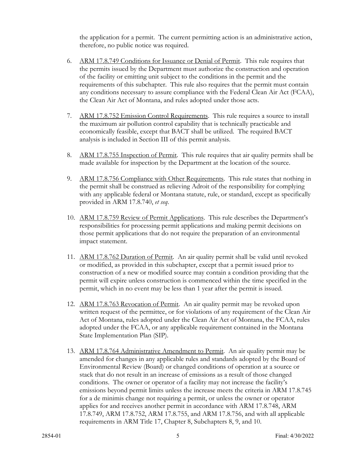the application for a permit. The current permitting action is an administrative action, therefore, no public notice was required.

- 6. ARM 17.8.749 Conditions for Issuance or Denial of Permit. This rule requires that the permits issued by the Department must authorize the construction and operation of the facility or emitting unit subject to the conditions in the permit and the requirements of this subchapter. This rule also requires that the permit must contain any conditions necessary to assure compliance with the Federal Clean Air Act (FCAA), the Clean Air Act of Montana, and rules adopted under those acts.
- 7. ARM 17.8.752 Emission Control Requirements. This rule requires a source to install the maximum air pollution control capability that is technically practicable and economically feasible, except that BACT shall be utilized. The required BACT analysis is included in Section III of this permit analysis.
- 8. ARM 17.8.755 Inspection of Permit. This rule requires that air quality permits shall be made available for inspection by the Department at the location of the source.
- 9. ARM 17.8.756 Compliance with Other Requirements. This rule states that nothing in the permit shall be construed as relieving Adroit of the responsibility for complying with any applicable federal or Montana statute, rule, or standard, except as specifically provided in ARM 17.8.740, *et seq*.
- 10. ARM 17.8.759 Review of Permit Applications. This rule describes the Department's responsibilities for processing permit applications and making permit decisions on those permit applications that do not require the preparation of an environmental impact statement.
- 11. ARM 17.8.762 Duration of Permit. An air quality permit shall be valid until revoked or modified, as provided in this subchapter, except that a permit issued prior to construction of a new or modified source may contain a condition providing that the permit will expire unless construction is commenced within the time specified in the permit, which in no event may be less than 1 year after the permit is issued.
- 12. ARM 17.8.763 Revocation of Permit. An air quality permit may be revoked upon written request of the permittee, or for violations of any requirement of the Clean Air Act of Montana, rules adopted under the Clean Air Act of Montana, the FCAA, rules adopted under the FCAA, or any applicable requirement contained in the Montana State Implementation Plan (SIP).
- 13. ARM 17.8.764 Administrative Amendment to Permit. An air quality permit may be amended for changes in any applicable rules and standards adopted by the Board of Environmental Review (Board) or changed conditions of operation at a source or stack that do not result in an increase of emissions as a result of those changed conditions. The owner or operator of a facility may not increase the facility's emissions beyond permit limits unless the increase meets the criteria in ARM 17.8.745 for a de minimis change not requiring a permit, or unless the owner or operator applies for and receives another permit in accordance with ARM 17.8.748, ARM 17.8.749, ARM 17.8.752, ARM 17.8.755, and ARM 17.8.756, and with all applicable requirements in ARM Title 17, Chapter 8, Subchapters 8, 9, and 10.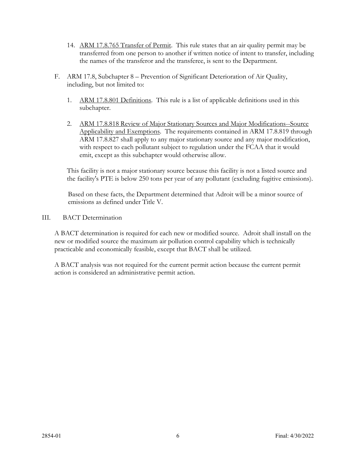- 14. ARM 17.8.765 Transfer of Permit. This rule states that an air quality permit may be transferred from one person to another if written notice of intent to transfer, including the names of the transferor and the transferee, is sent to the Department.
- F. ARM 17.8, Subchapter 8 Prevention of Significant Deterioration of Air Quality, including, but not limited to:
	- 1. ARM 17.8.801 Definitions. This rule is a list of applicable definitions used in this subchapter.
	- 2. ARM 17.8.818 Review of Major Stationary Sources and Major Modifications--Source Applicability and Exemptions. The requirements contained in ARM 17.8.819 through ARM 17.8.827 shall apply to any major stationary source and any major modification, with respect to each pollutant subject to regulation under the FCAA that it would emit, except as this subchapter would otherwise allow.

This facility is not a major stationary source because this facility is not a listed source and the facility's PTE is below 250 tons per year of any pollutant (excluding fugitive emissions).

Based on these facts, the Department determined that Adroit will be a minor source of emissions as defined under Title V.

III. BACT Determination

A BACT determination is required for each new or modified source. Adroit shall install on the new or modified source the maximum air pollution control capability which is technically practicable and economically feasible, except that BACT shall be utilized.

A BACT analysis was not required for the current permit action because the current permit action is considered an administrative permit action.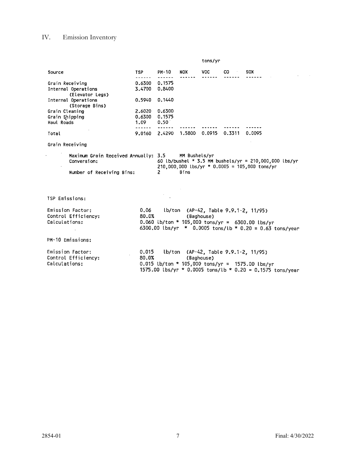# IV. Emission Inventory

|                                                                                  |                                 |                          |                       | tons/yr    |        |                                                                                                                                                         |
|----------------------------------------------------------------------------------|---------------------------------|--------------------------|-----------------------|------------|--------|---------------------------------------------------------------------------------------------------------------------------------------------------------|
| Source                                                                           | <b>TSP</b>                      | PM-10                    | NOX                   | VOC.       | CO     | <b>SOX</b>                                                                                                                                              |
| Grain Receiving<br>Internal Operations<br>(Elevator Legs)                        | .<br>0.6300<br>3.4700           | 0.1575<br>0.8400         |                       |            |        |                                                                                                                                                         |
| Internal Operations<br>(Storage Bins)                                            | 0.5940 0.1440                   |                          |                       |            |        |                                                                                                                                                         |
| Grain Cleaning<br>Grain Shipping<br>Haul Roads                                   | 2.6020<br>0.6300 0.1575<br>1.09 | 0.6300<br>$0.50^{\circ}$ |                       |            |        |                                                                                                                                                         |
| Total                                                                            | ------                          | 9.0160 2.4290 1.5800     |                       | 0.0915     | 0.3311 | 0.0095                                                                                                                                                  |
| Grain Receiving                                                                  |                                 |                          |                       |            |        |                                                                                                                                                         |
| Maximum Grain Received Annually: 3.5<br>Conversion:<br>Number of Receiving Bins: |                                 | $\mathbf{2}$             | MM Bushels/yr<br>Bins |            |        | 60 lb/bushel * 3.5 MM bushels/yr = $210,000,000$ lbs/yr<br>$210,000,000$ lbs/yr * 0.0005 = 105,000 tons/yr                                              |
| <b>TSP Emissions:</b>                                                            |                                 |                          |                       |            |        |                                                                                                                                                         |
| Emission Factor:<br>Control Efficiency:<br>Calculations:                         | 80.0%                           |                          |                       | (Baghouse) |        | 0.06 lb/ton (AP-42, Table 9.9.1-2, 11/95)<br>0.060 lb/ton * 105,000 tons/yr = 6300.00 lbs/yr<br>6300.00 lbs/yr * 0.0005 tons/lb * 0.20 = 0.63 tons/year |
| PM-10 Emissions:                                                                 |                                 |                          |                       |            |        |                                                                                                                                                         |
| Emission Factor:<br>Control Efficiency:<br>Calculations:                         | 0.015<br>80.0%                  |                          |                       | (Baghouse) |        | lb/ton (AP-42, Table 9.9.1-2, 11/95)<br>0.015 lb/ton * 105,000 tons/yr = 1575.00 lbs/yr<br>1575.00 lbs/yr * 0.0005 tons/lb * 0.20 = 0.1575 tons/year    |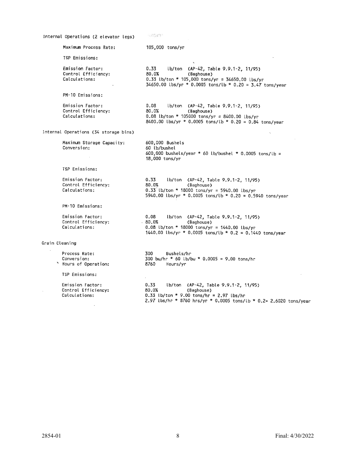| Internal Operations (2 elevator legs)                    | FROGET                                                                                                                                                                                  |
|----------------------------------------------------------|-----------------------------------------------------------------------------------------------------------------------------------------------------------------------------------------|
| Maximum Process Rate:                                    | 105,000 tons/yr                                                                                                                                                                         |
| TSP Emissions:                                           |                                                                                                                                                                                         |
| Emission Factor:<br>Control Efficiency:<br>Calculations: | 0.33<br>lb/ton (AP-42, Table 9.9.1-2, 11/95)<br>80.0%<br>(Baghouse)<br>0.33 lb/ton * 105,000 tons/yr = 34650.00 lbs/yr<br>34650.00 lbs/yr * 0.0005 tons/lb * 0.20 = 3.47 tons/year      |
| PM-10 Emissions:                                         |                                                                                                                                                                                         |
| Emission Factor:<br>Control Efficiency:<br>Calculations: | 0.08<br>lb/ton (AP-42, Table 9.9.1-2, 11/95)<br>80.0%<br>(Baghouse)<br>0.08 lb/ton * 105000 tons/yr = 8400.00 lbs/yr<br>8400.00 lbs/yr * 0.0005 tons/lb * 0.20 = 0.84 tons/year         |
| Internal Operations (34 storage bins)                    |                                                                                                                                                                                         |
| Maximum Storage Capacity:<br>Conversion:                 | 600,000 Bushels<br>60 lb/bushel<br>600,000 bushels/year * 60 lb/bushel * 0.0005 tons/lb =<br>18,000 tons/yr                                                                             |
| TSP Emissions:                                           |                                                                                                                                                                                         |
| Emission Factor:<br>Control Efficiency:<br>Calculations: | 0.33<br>(b/ton (AP-42, Table 9.9.1-2, 11/95)<br>80.0%<br>(Baghouse)<br>$0.33$ lb/ton * 18000 tons/yr = 5940.00 lbs/yr<br>5940.00 lbs/yr * 0.0005 tons/lb * 0.20 = 0.5940 tons/year      |
| PM-10 Emissions:                                         |                                                                                                                                                                                         |
| Emission Factor:<br>Control Efficiency:<br>Calculations: | 0.08<br>lb/ton (AP-42, Table 9.9.1-2, 11/95)<br>80.0%<br>(Baghouse)<br>0.08 lb/ton * 18000 tons/yr = 1440.00 lbs/yr<br>1440.00 lbs/yr * 0.0005 tons/lb * 0.2 = 0.1440 tons/year         |
| Grain Cleaning                                           |                                                                                                                                                                                         |
| Process Rate:<br>Conversion:<br>* Hours of Operation:    | 300<br>Bushels/hr<br>300 bu/hr * 60 lb/bu * 0.0005 = 9.00 tons/hr<br>8760<br>Hours/yr                                                                                                   |
| TSP Emissions:                                           |                                                                                                                                                                                         |
| Emission Factor:<br>Control Efficiency:<br>Calculations: | 0.33<br>lb/ton (AP-42, Table 9.9.1-2, 11/95)<br>80.0%<br>(Baghouse)<br>$0.33$ lb/ton * 9.00 tons/hr = 2.97 lbs/hr<br>2.97 lbs/hr * 8760 hrs/yr * 0.0005 tons/lb * 0.2= 2.6020 tons/year |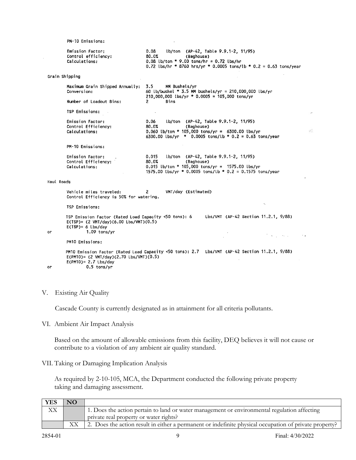```
PM-10 Emissions:
```

| Emission Factor:    | 0.08  | (b/ton (AP-42, Table 9.9.1-2, 11/95)                                                                            |
|---------------------|-------|-----------------------------------------------------------------------------------------------------------------|
| Control efficiency: | 80.0% | (Baghouse)                                                                                                      |
| Calculations:       |       | $0.08$ lb/ton * 9.00 tons/hr = 0.72 lbs/hr<br>0.72 lbs/hr * 8760 hrs/yr * 0.0005 tons/lb * 0.2 = 0.63 tons/year |

 $\bar{z}$ 

Grain Shipping

|                         | Maximum Grain Shipped Annually:<br>Conversion:                       | MM Bushels/yr<br>3.5<br>60 lb/bushel * 3.5 MM bushels/yr = 210,000,000 lbs/yr                                                                                                      |  |  |  |
|-------------------------|----------------------------------------------------------------------|------------------------------------------------------------------------------------------------------------------------------------------------------------------------------------|--|--|--|
| Number of Loadout Bins: |                                                                      | $210,000,000$ lbs/yr * 0.0005 = 105,000 tons/yr<br>2<br>Bins                                                                                                                       |  |  |  |
|                         | TSP Emissions:                                                       |                                                                                                                                                                                    |  |  |  |
|                         | Emission Factor:<br>Control Efficiency:<br>Calculations:             | lb/ton (AP-42, Table 9.9.1-2, 11/95)<br>0.06<br>80.0%<br>(Baghouse)<br>$0.060$ lb/ton * 105,000 tons/yr = 6300.00 lbs/yr<br>6300.00 lbs/yr * 0.0005 tons/lb * 0.2 = 0.63 tons/year |  |  |  |
|                         | PM-10 Emissions:                                                     |                                                                                                                                                                                    |  |  |  |
|                         | Emission Factor:<br>Control Efficiency:<br>Calculations:             | 0.015 lb/ton (AP-42, Table 9.9.1-2, 11/95)<br>80.0%<br>(Baghouse)<br>$0.015$ lb/ton * 105,000 tons/yr = 1575.00 lbs/yr<br>1575.00 lbs/yr * 0.0005 tons/lb * 0.2 = 0.1575 tons/year |  |  |  |
| Haul Roads              |                                                                      |                                                                                                                                                                                    |  |  |  |
|                         | Vehicle miles traveled: 2<br>Control Efficiency is 50% for watering. | VMT/day {Estimated}                                                                                                                                                                |  |  |  |
|                         | TSP Emissions:                                                       | $\sim$                                                                                                                                                                             |  |  |  |

```
TSP Emission Factor (Rated Load Capacity <50 tons): 6<br>E(TSP)= (2 VMT/day)(6.00 Lbs/VMT)(0.5)
                                                                                                        Lbs/VMT (AP-42 Section 11.2.1, 9/88)
             E(TSP) = 6 Lbs/day
                           1.09 tons/yr
оr
                                                                                                                                                        \mathcal{F}(\mathbf{x},\mathbf{y}) and \mathcal{F}(\mathbf{x},\mathbf{y}) .
```
PM10 Emissions:

```
PM10 Emission Factor (Rated Load Capacity <50 tons): 2.7 Lbs/VMT (AP-42 Section 11.2.1, 9/88)<br>E(PM10)= (2 VMT/day)(2.70 Lbs/VMT)(0.5)
          E(PM10)= 2.7 Lbs/day
                     0.5 tons/yr
оr
```
#### V. Existing Air Quality

Cascade County is currently designated as in attainment for all criteria pollutants.

VI. Ambient Air Impact Analysis

Based on the amount of allowable emissions from this facility, DEQ believes it will not cause or contribute to a violation of any ambient air quality standard.

VII. Taking or Damaging Implication Analysis

As required by 2-10-105, MCA, the Department conducted the following private property taking and damaging assessment.

| <b>YES</b> | NO. |                                                                                                        |
|------------|-----|--------------------------------------------------------------------------------------------------------|
| XХ         |     | 1. Does the action pertain to land or water management or environmental regulation affecting           |
|            |     | private real property or water rights?                                                                 |
|            |     | 2. Does the action result in either a permanent or indefinite physical occupation of private property? |

 $\sqrt{3}$